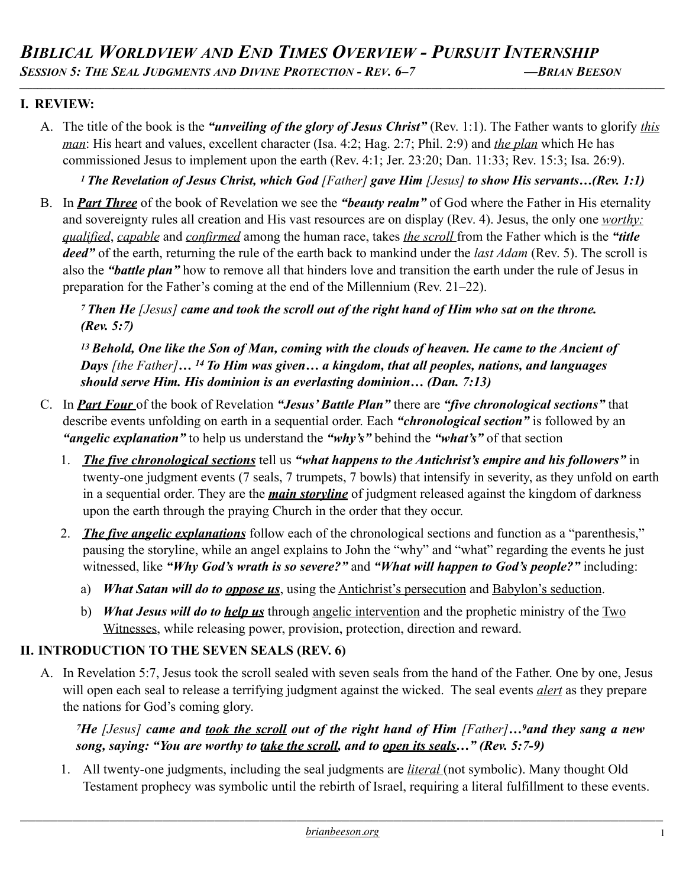## **I. REVIEW:**

A. The title of the book is the *"unveiling of the glory of Jesus Christ"* (Rev. 1:1). The Father wants to glorify *this man*: His heart and values, excellent character (Isa. 4:2; Hag. 2:7; Phil. 2:9) and *the plan* which He has commissioned Jesus to implement upon the earth (Rev. 4:1; Jer. 23:20; Dan. 11:33; Rev. 15:3; Isa. 26:9).

*\_\_\_\_\_\_\_\_\_\_\_\_\_\_\_\_\_\_\_\_\_\_\_\_\_\_\_\_\_\_\_\_\_\_\_\_\_\_\_\_\_\_\_\_\_\_\_\_\_\_\_\_\_\_\_\_\_\_\_\_\_\_\_\_\_\_\_\_\_\_\_\_\_\_\_\_\_\_\_\_\_\_\_\_\_\_\_\_\_\_\_\_\_\_\_\_\_\_\_\_\_\_\_\_\_\_\_\_\_\_\_\_\_\_\_\_\_\_\_\_\_\_\_\_\_\_\_\_\_\_\_\_\_\_\_\_\_\_\_\_\_\_\_\_*

*1 The Revelation of Jesus Christ, which God [Father] gave Him [Jesus] to show His servants…(Rev. 1:1)* 

B. In *Part Three* of the book of Revelation we see the *"beauty realm"* of God where the Father in His eternality and sovereignty rules all creation and His vast resources are on display (Rev. 4). Jesus, the only one *worthy: qualified*, *capable* and *confirmed* among the human race, takes *the scroll* from the Father which is the *"title deed"* of the earth, returning the rule of the earth back to mankind under the *last Adam* (Rev. 5). The scroll is also the *"battle plan"* how to remove all that hinders love and transition the earth under the rule of Jesus in preparation for the Father's coming at the end of the Millennium (Rev. 21–22).

*7 Then He [Jesus] came and took the scroll out of the right hand of Him who sat on the throne. (Rev. 5:7)* 

*13 Behold, One like the Son of Man, coming with the clouds of heaven. He came to the Ancient of Days [the Father]… 14 To Him was given… a kingdom, that all peoples, nations, and languages should serve Him. His dominion is an everlasting dominion… (Dan. 7:13)* 

- C. In *Part Four* of the book of Revelation *"Jesus' Battle Plan"* there are *"five chronological sections"* that describe events unfolding on earth in a sequential order. Each *"chronological section"* is followed by an *"angelic explanation"* to help us understand the *"why's"* behind the *"what's"* of that section
	- 1. *The five chronological sections* tell us *"what happens to the Antichrist's empire and his followers"* in twenty-one judgment events (7 seals, 7 trumpets, 7 bowls) that intensify in severity, as they unfold on earth in a sequential order. They are the *main storyline* of judgment released against the kingdom of darkness upon the earth through the praying Church in the order that they occur.
	- 2. *The five angelic explanations* follow each of the chronological sections and function as a "parenthesis," pausing the storyline, while an angel explains to John the "why" and "what" regarding the events he just witnessed, like *"Why God's wrath is so severe?"* and *"What will happen to God's people?"* including:
		- a) *What Satan will do to oppose us*, using the Antichrist's persecution and Babylon's seduction.
		- b) *What Jesus will do to help us* through angelic intervention and the prophetic ministry of the Two Witnesses, while releasing power, provision, protection, direction and reward.

### **II. INTRODUCTION TO THE SEVEN SEALS (REV. 6)**

A. In Revelation 5:7, Jesus took the scroll sealed with seven seals from the hand of the Father. One by one, Jesus will open each seal to release a terrifying judgment against the wicked. The seal events *alert* as they prepare the nations for God's coming glory.

*7He [Jesus] came and took the scroll out of the right hand of Him [Father]…9and they sang a new song, saying: "You are worthy to take the scroll, and to open its seals…" (Rev. 5:7-9)*

1. All twenty-one judgments, including the seal judgments are *literal* (not symbolic). Many thought Old Testament prophecy was symbolic until the rebirth of Israel, requiring a literal fulfillment to these events.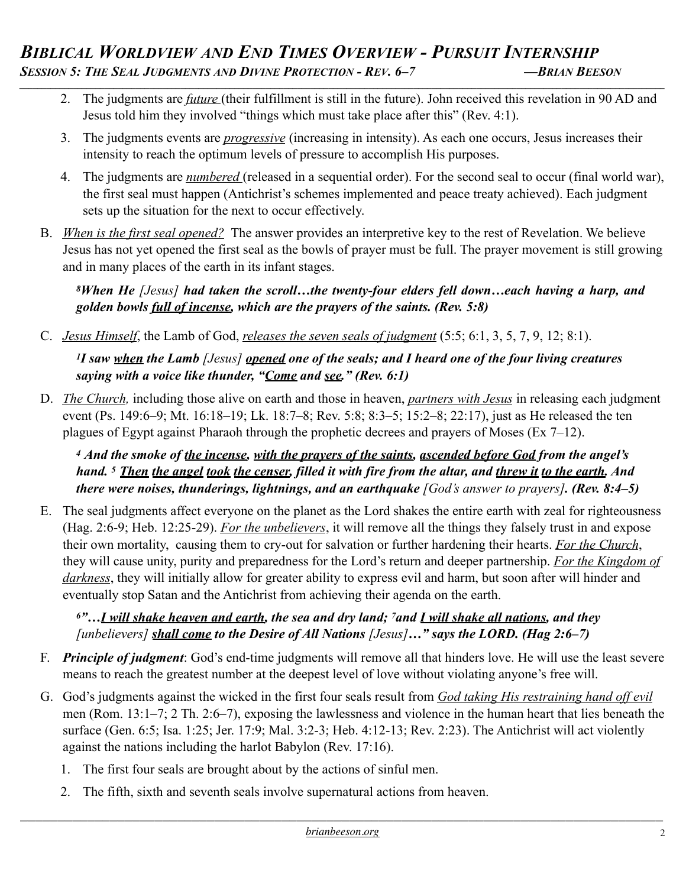- 2. The judgments are *future* (their fulfillment is still in the future). John received this revelation in 90 AD and Jesus told him they involved "things which must take place after this" (Rev. 4:1).
- 3. The judgments events are *progressive* (increasing in intensity). As each one occurs, Jesus increases their intensity to reach the optimum levels of pressure to accomplish His purposes.
- 4. The judgments are *numbered* (released in a sequential order). For the second seal to occur (final world war), the first seal must happen (Antichrist's schemes implemented and peace treaty achieved). Each judgment sets up the situation for the next to occur effectively.
- B. *When is the first seal opened?* The answer provides an interpretive key to the rest of Revelation. We believe Jesus has not yet opened the first seal as the bowls of prayer must be full. The prayer movement is still growing and in many places of the earth in its infant stages.

*8When He [Jesus] had taken the scroll…the twenty-four elders fell down…each having a harp, and golden bowls full of incense, which are the prayers of the saints. (Rev. 5:8)*

C. *Jesus Himself*, the Lamb of God, *releases the seven seals of judgment* (5:5; 6:1, 3, 5, 7, 9, 12; 8:1).

*1I saw when the Lamb [Jesus] opened one of the seals; and I heard one of the four living creatures saying with a voice like thunder, "Come and see." (Rev. 6:1)*

D. *The Church,* including those alive on earth and those in heaven, *partners with Jesus* in releasing each judgment event (Ps. 149:6–9; Mt. 16:18–19; Lk. 18:7–8; Rev. 5:8; 8:3–5; 15:2–8; 22:17), just as He released the ten plagues of Egypt against Pharaoh through the prophetic decrees and prayers of Moses (Ex 7–12).

*<sup>4</sup> And the smoke of the incense, with the prayers of the saints, ascended before God from the angel's hand. 5 Then the angel took the censer, filled it with fire from the altar, and threw it to the earth. And there were noises, thunderings, lightnings, and an earthquake [God's answer to prayers]. (Rev. 8:4–5)*

E. The seal judgments affect everyone on the planet as the Lord shakes the entire earth with zeal for righteousness (Hag. 2:6-9; Heb. 12:25-29). *For the unbelievers*, it will remove all the things they falsely trust in and expose their own mortality, causing them to cry-out for salvation or further hardening their hearts. *For the Church*, they will cause unity, purity and preparedness for the Lord's return and deeper partnership. *For the Kingdom of darkness*, they will initially allow for greater ability to express evil and harm, but soon after will hinder and eventually stop Satan and the Antichrist from achieving their agenda on the earth.

*6"…I will shake heaven and earth, the sea and dry land; 7and I will shake all nations, and they [unbelievers] shall come to the Desire of All Nations [Jesus]…" says the LORD. (Hag 2:6–7)*

- F. *Principle of judgment*: God's end-time judgments will remove all that hinders love. He will use the least severe means to reach the greatest number at the deepest level of love without violating anyone's free will.
- G. God's judgments against the wicked in the first four seals result from *God taking His restraining hand off evil* men (Rom. 13:1–7; 2 Th. 2:6–7), exposing the lawlessness and violence in the human heart that lies beneath the surface (Gen. 6:5; Isa. 1:25; Jer. 17:9; Mal. 3:2-3; Heb. 4:12-13; Rev. 2:23). The Antichrist will act violently against the nations including the harlot Babylon (Rev. 17:16).
	- 1. The first four seals are brought about by the actions of sinful men.
	- 2. The fifth, sixth and seventh seals involve supernatural actions from heaven.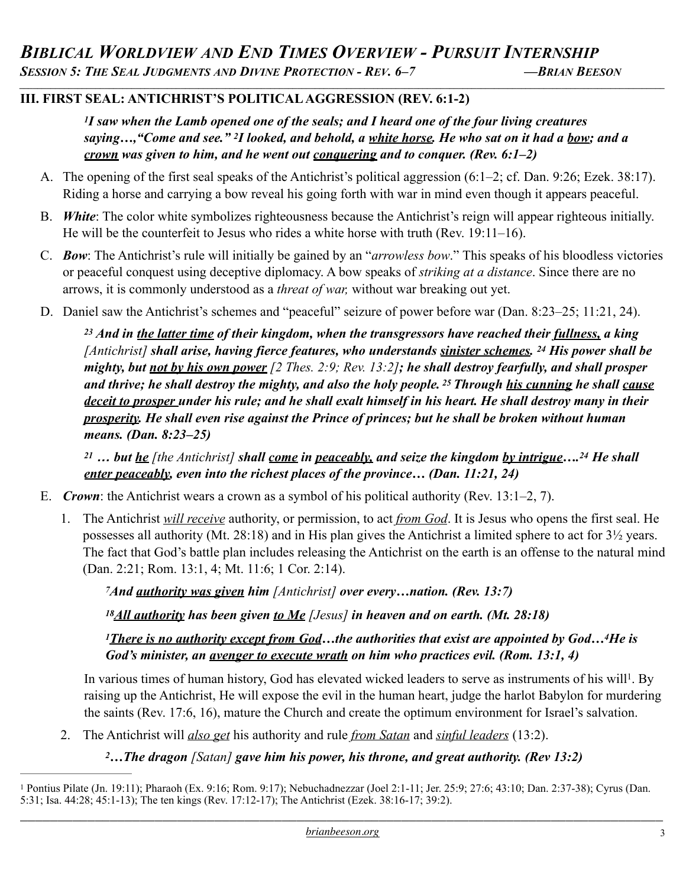*\_\_\_\_\_\_\_\_\_\_\_\_\_\_\_\_\_\_\_\_\_\_\_\_\_\_\_\_\_\_\_\_\_\_\_\_\_\_\_\_\_\_\_\_\_\_\_\_\_\_\_\_\_\_\_\_\_\_\_\_\_\_\_\_\_\_\_\_\_\_\_\_\_\_\_\_\_\_\_\_\_\_\_\_\_\_\_\_\_\_\_\_\_\_\_\_\_\_\_\_\_\_\_\_\_\_\_\_\_\_\_\_\_\_\_\_\_\_\_\_\_\_\_\_\_\_\_\_\_\_\_\_\_\_\_\_\_\_\_\_\_\_\_\_*

## **III. FIRST SEAL: ANTICHRIST'S POLITICAL AGGRESSION (REV. 6:1-2)**

*1I saw when the Lamb opened one of the seals; and I heard one of the four living creatures saying…,"Come and see." 2I looked, and behold, a white horse. He who sat on it had a bow; and a crown was given to him, and he went out conquering and to conquer. (Rev. 6:1–2)*

- A. The opening of the first seal speaks of the Antichrist's political aggression (6:1–2; cf. Dan. 9:26; Ezek. 38:17). Riding a horse and carrying a bow reveal his going forth with war in mind even though it appears peaceful.
- B. *White*: The color white symbolizes righteousness because the Antichrist's reign will appear righteous initially. He will be the counterfeit to Jesus who rides a white horse with truth (Rev. 19:11–16).
- C. *Bow*: The Antichrist's rule will initially be gained by an "*arrowless bow*." This speaks of his bloodless victories or peaceful conquest using deceptive diplomacy. A bow speaks of *striking at a distance*. Since there are no arrows, it is commonly understood as a *threat of war,* without war breaking out yet.
- D. Daniel saw the Antichrist's schemes and "peaceful" seizure of power before war (Dan. 8:23–25; 11:21, 24).

*23 And in the latter time of their kingdom, when the transgressors have reached their fullness, a king [Antichrist] shall arise, having fierce features, who understands sinister schemes. 24 His power shall be mighty, but not by his own power [2 Thes. 2:9; Rev. 13:2]; he shall destroy fearfully, and shall prosper and thrive; he shall destroy the mighty, and also the holy people. 25 Through his cunning he shall cause deceit to prosper under his rule; and he shall exalt himself in his heart. He shall destroy many in their prosperity. He shall even rise against the Prince of princes; but he shall be broken without human means. (Dan. 8:23–25)* 

*<sup>21</sup> … but he [the Antichrist] shall come in peaceably, and seize the kingdom by intrigue….24 He shall enter peaceably, even into the richest places of the province… (Dan. 11:21, 24)* 

- E. *Crown*: the Antichrist wears a crown as a symbol of his political authority (Rev. 13:1–2, 7).
	- 1. The Antichrist *will receive* authority, or permission, to act *from God*. It is Jesus who opens the first seal. He possesses all authority (Mt. 28:18) and in His plan gives the Antichrist a limited sphere to act for 3½ years. The fact that God's battle plan includes releasing the Antichrist on the earth is an offense to the natural mind (Dan. 2:21; Rom. 13:1, 4; Mt. 11:6; 1 Cor. 2:14).

*7And authority was given him [Antichrist] over every…nation. (Rev. 13:7)* 

*18All authority has been given to Me [Jesus] in heaven and on earth. (Mt. 28:18)* 

<span id="page-2-1"></span>*1There is no authority except from God…the authorities that exist are appointed by God…4He is God's minister, an avenger to execute wrath on him who practices evil. (Rom. 13:1, 4)* 

In various times of human history, God has elevated wicked leaders to serve as instruments of his will<sup>[1](#page-2-0)</sup>. By raising up the Antichrist, He will expose the evil in the human heart, judge the harlot Babylon for murdering the saints (Rev. 17:6, 16), mature the Church and create the optimum environment for Israel's salvation.

- 2. The Antichrist will *also get* his authority and rule *from Satan* and *sinful leaders* (13:2).
	- *2…The dragon [Satan] gave him his power, his throne, and great authority. (Rev 13:2)*

<span id="page-2-0"></span>Pontius Pilate (Jn. 19:11); Pharaoh (Ex. 9:16; Rom. 9:17); Nebuchadnezzar (Joel 2:1-11; Jer. 25:9; 27:6; 43:10; Dan. 2:37-38); Cyrus (Dan. [1](#page-2-1) 5:31; Isa. 44:28; 45:1-13); The ten kings (Rev. 17:12-17); The Antichrist (Ezek. 38:16-17; 39:2).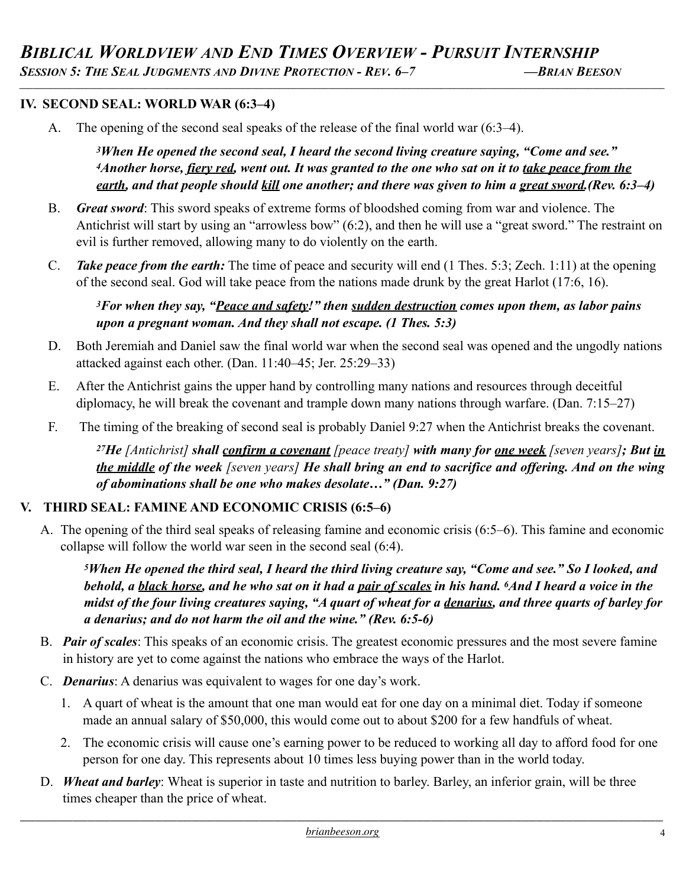*\_\_\_\_\_\_\_\_\_\_\_\_\_\_\_\_\_\_\_\_\_\_\_\_\_\_\_\_\_\_\_\_\_\_\_\_\_\_\_\_\_\_\_\_\_\_\_\_\_\_\_\_\_\_\_\_\_\_\_\_\_\_\_\_\_\_\_\_\_\_\_\_\_\_\_\_\_\_\_\_\_\_\_\_\_\_\_\_\_\_\_\_\_\_\_\_\_\_\_\_\_\_\_\_\_\_\_\_\_\_\_\_\_\_\_\_\_\_\_\_\_\_\_\_\_\_\_\_\_\_\_\_\_\_\_\_\_\_\_\_\_\_\_\_*

### **IV. SECOND SEAL: WORLD WAR (6:3–4)**

A. The opening of the second seal speaks of the release of the final world war (6:3–4).

*3When He opened the second seal, I heard the second living creature saying, "Come and see." 4Another horse, fiery red, went out. It was granted to the one who sat on it to take peace from the earth, and that people should kill one another; and there was given to him a great sword.(Rev. 6:3–4)* 

- B. *Great sword*: This sword speaks of extreme forms of bloodshed coming from war and violence. The Antichrist will start by using an "arrowless bow" (6:2), and then he will use a "great sword." The restraint on evil is further removed, allowing many to do violently on the earth.
- C. *Take peace from the earth:* The time of peace and security will end (1 Thes. 5:3; Zech. 1:11) at the opening of the second seal. God will take peace from the nations made drunk by the great Harlot (17:6, 16).

### *3For when they say, "Peace and safety!" then sudden destruction comes upon them, as labor pains upon a pregnant woman. And they shall not escape. (1 Thes. 5:3)*

- D. Both Jeremiah and Daniel saw the final world war when the second seal was opened and the ungodly nations attacked against each other. (Dan. 11:40–45; Jer. 25:29–33)
- E. After the Antichrist gains the upper hand by controlling many nations and resources through deceitful diplomacy, he will break the covenant and trample down many nations through warfare. (Dan. 7:15–27)
- F. The timing of the breaking of second seal is probably Daniel 9:27 when the Antichrist breaks the covenant.

*27He [Antichrist] shall confirm a covenant [peace treaty] with many for one week [seven years]; But in the middle of the week [seven years] He shall bring an end to sacrifice and offering. And on the wing of abominations shall be one who makes desolate…" (Dan. 9:27)*

### **V. THIRD SEAL: FAMINE AND ECONOMIC CRISIS (6:5–6)**

A. The opening of the third seal speaks of releasing famine and economic crisis (6:5–6). This famine and economic collapse will follow the world war seen in the second seal (6:4).

*5When He opened the third seal, I heard the third living creature say, "Come and see." So I looked, and behold, a black horse, and he who sat on it had a pair of scales in his hand. 6And I heard a voice in the midst of the four living creatures saying, "A quart of wheat for a denarius, and three quarts of barley for a denarius; and do not harm the oil and the wine." (Rev. 6:5-6)* 

- B. *Pair of scales*: This speaks of an economic crisis. The greatest economic pressures and the most severe famine in history are yet to come against the nations who embrace the ways of the Harlot.
- C. *Denarius*: A denarius was equivalent to wages for one day's work.
	- 1. A quart of wheat is the amount that one man would eat for one day on a minimal diet. Today if someone made an annual salary of \$50,000, this would come out to about \$200 for a few handfuls of wheat.
	- 2. The economic crisis will cause one's earning power to be reduced to working all day to afford food for one person for one day. This represents about 10 times less buying power than in the world today.
- D. *Wheat and barley*: Wheat is superior in taste and nutrition to barley. Barley, an inferior grain, will be three times cheaper than the price of wheat.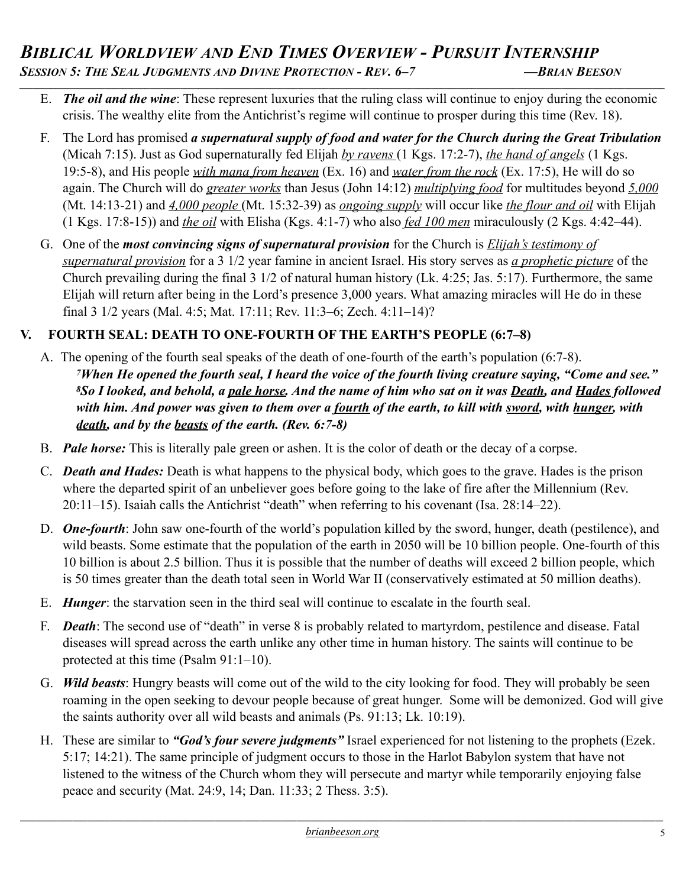- E. *The oil and the wine*: These represent luxuries that the ruling class will continue to enjoy during the economic crisis. The wealthy elite from the Antichrist's regime will continue to prosper during this time (Rev. 18).
- F. The Lord has promised *a supernatural supply of food and water for the Church during the Great Tribulation*  (Micah 7:15). Just as God supernaturally fed Elijah *by ravens* (1 Kgs. 17:2-7), *the hand of angels* (1 Kgs. 19:5-8), and His people *with mana from heaven* (Ex. 16) and *water from the rock* (Ex. 17:5), He will do so again. The Church will do *greater works* than Jesus (John 14:12) *multiplying food* for multitudes beyond *5,000* (Mt. 14:13-21) and *4,000 people* (Mt. 15:32-39) as *ongoing supply* will occur like *the flour and oil* with Elijah (1 Kgs. 17:8-15)) and *the oil* with Elisha (Kgs. 4:1-7) who also *fed 100 men* miraculously (2 Kgs. 4:42–44).
- G. One of the *most convincing signs of supernatural provision* for the Church is *Elijah's testimony of supernatural provision* for a 3 1/2 year famine in ancient Israel. His story serves as *a prophetic picture* of the Church prevailing during the final 3 1/2 of natural human history (Lk. 4:25; Jas. 5:17). Furthermore, the same Elijah will return after being in the Lord's presence 3,000 years. What amazing miracles will He do in these final 3 1/2 years (Mal. 4:5; Mat. 17:11; Rev. 11:3–6; Zech. 4:11–14)?

# **V. FOURTH SEAL: DEATH TO ONE-FOURTH OF THE EARTH'S PEOPLE (6:7–8)**

- A. The opening of the fourth seal speaks of the death of one-fourth of the earth's population (6:7-8). *7When He opened the fourth seal, I heard the voice of the fourth living creature saying, "Come and see." 8So I looked, and behold, a pale horse. And the name of him who sat on it was Death, and Hades followed with him. And power was given to them over a fourth of the earth, to kill with sword, with hunger, with death, and by the beasts of the earth. (Rev. 6:7-8)*
- B. *Pale horse:* This is literally pale green or ashen. It is the color of death or the decay of a corpse.
- C. *Death and Hades:* Death is what happens to the physical body, which goes to the grave. Hades is the prison where the departed spirit of an unbeliever goes before going to the lake of fire after the Millennium (Rev. 20:11–15). Isaiah calls the Antichrist "death" when referring to his covenant (Isa. 28:14–22).
- D. *One-fourth*: John saw one-fourth of the world's population killed by the sword, hunger, death (pestilence), and wild beasts. Some estimate that the population of the earth in 2050 will be 10 billion people. One-fourth of this 10 billion is about 2.5 billion. Thus it is possible that the number of deaths will exceed 2 billion people, which is 50 times greater than the death total seen in World War II (conservatively estimated at 50 million deaths).
- E. *Hunger*: the starvation seen in the third seal will continue to escalate in the fourth seal.
- F. *Death*: The second use of "death" in verse 8 is probably related to martyrdom, pestilence and disease. Fatal diseases will spread across the earth unlike any other time in human history. The saints will continue to be protected at this time (Psalm 91:1–10).
- G. *Wild beasts*: Hungry beasts will come out of the wild to the city looking for food. They will probably be seen roaming in the open seeking to devour people because of great hunger. Some will be demonized. God will give the saints authority over all wild beasts and animals (Ps. 91:13; Lk. 10:19).
- H. These are similar to *"God's four severe judgments"* Israel experienced for not listening to the prophets (Ezek. 5:17; 14:21). The same principle of judgment occurs to those in the Harlot Babylon system that have not listened to the witness of the Church whom they will persecute and martyr while temporarily enjoying false peace and security (Mat. 24:9, 14; Dan. 11:33; 2 Thess. 3:5).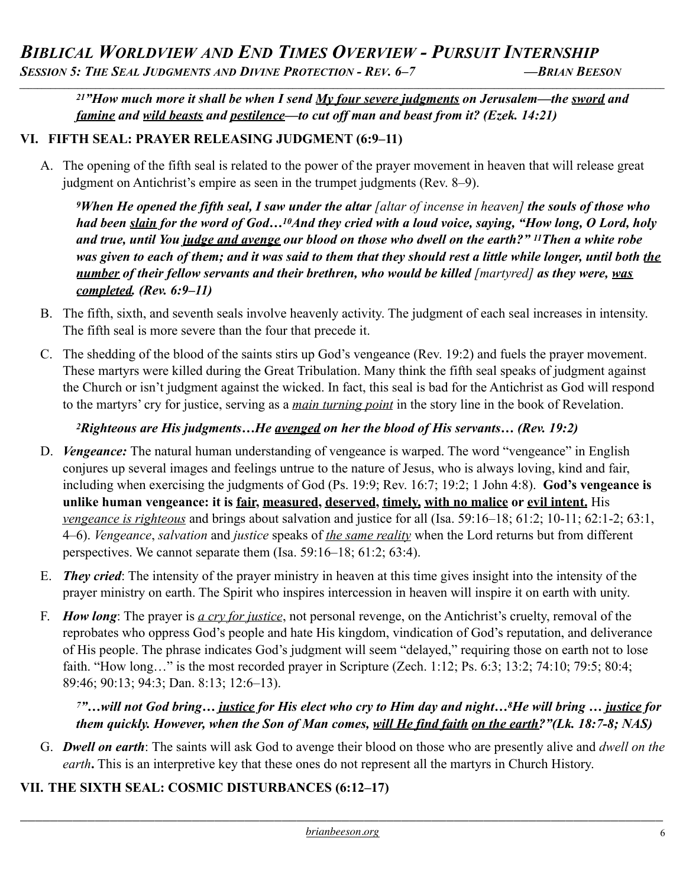# *BIBLICAL WORLDVIEW AND END TIMES OVERVIEW - PURSUIT INTERNSHIP SESSION 5: THE SEAL JUDGMENTS AND DIVINE PROTECTION - REV. 6–7 —BRIAN BEESON*

*21"How much more it shall be when I send My four severe judgments on Jerusalem—the sword and famine and wild beasts and pestilence—to cut off man and beast from it? (Ezek. 14:21)*

*\_\_\_\_\_\_\_\_\_\_\_\_\_\_\_\_\_\_\_\_\_\_\_\_\_\_\_\_\_\_\_\_\_\_\_\_\_\_\_\_\_\_\_\_\_\_\_\_\_\_\_\_\_\_\_\_\_\_\_\_\_\_\_\_\_\_\_\_\_\_\_\_\_\_\_\_\_\_\_\_\_\_\_\_\_\_\_\_\_\_\_\_\_\_\_\_\_\_\_\_\_\_\_\_\_\_\_\_\_\_\_\_\_\_\_\_\_\_\_\_\_\_\_\_\_\_\_\_\_\_\_\_\_\_\_\_\_\_\_\_\_\_\_\_*

## **VI. FIFTH SEAL: PRAYER RELEASING JUDGMENT (6:9–11)**

A. The opening of the fifth seal is related to the power of the prayer movement in heaven that will release great judgment on Antichrist's empire as seen in the trumpet judgments (Rev. 8–9).

*9When He opened the fifth seal, I saw under the altar [altar of incense in heaven] the souls of those who had been slain for the word of God…10And they cried with a loud voice, saying, "How long, O Lord, holy and true, until You judge and avenge our blood on those who dwell on the earth?" 11Then a white robe*  was given to each of them; and it was said to them that they should rest a little while longer, until both the *number of their fellow servants and their brethren, who would be killed [martyred] as they were, was completed. (Rev. 6:9–11)*

- B. The fifth, sixth, and seventh seals involve heavenly activity. The judgment of each seal increases in intensity. The fifth seal is more severe than the four that precede it.
- C. The shedding of the blood of the saints stirs up God's vengeance (Rev. 19:2) and fuels the prayer movement. These martyrs were killed during the Great Tribulation. Many think the fifth seal speaks of judgment against the Church or isn't judgment against the wicked. In fact, this seal is bad for the Antichrist as God will respond to the martyrs' cry for justice, serving as a *main turning point* in the story line in the book of Revelation.

# *2Righteous are His judgments…He avenged on her the blood of His servants… (Rev. 19:2)*

- D. *Vengeance:* The natural human understanding of vengeance is warped. The word "vengeance" in English conjures up several images and feelings untrue to the nature of Jesus, who is always loving, kind and fair, including when exercising the judgments of God (Ps. 19:9; Rev. 16:7; 19:2; 1 John 4:8). **God's vengeance is unlike human vengeance: it is fair, measured, deserved, timely, with no malice or evil intent.** His *vengeance is righteous* and brings about salvation and justice for all (Isa. 59:16–18; 61:2; 10-11; 62:1-2; 63:1, 4–6). *Vengeance*, *salvation* and *justice* speaks of *the same reality* when the Lord returns but from different perspectives. We cannot separate them (Isa. 59:16–18; 61:2; 63:4).
- E. *They cried*: The intensity of the prayer ministry in heaven at this time gives insight into the intensity of the prayer ministry on earth. The Spirit who inspires intercession in heaven will inspire it on earth with unity.
- F. *How long*: The prayer is *a cry for justice*, not personal revenge, on the Antichrist's cruelty, removal of the reprobates who oppress God's people and hate His kingdom, vindication of God's reputation, and deliverance of His people. The phrase indicates God's judgment will seem "delayed," requiring those on earth not to lose faith. "How long…" is the most recorded prayer in Scripture (Zech. 1:12; Ps. 6:3; 13:2; 74:10; 79:5; 80:4; 89:46; 90:13; 94:3; Dan. 8:13; 12:6–13).

# *7"…will not God bring… justice for His elect who cry to Him day and night…8He will bring … justice for them quickly. However, when the Son of Man comes, will He find faith on the earth?"(Lk. 18:7-8; NAS)*

G. *Dwell on earth*: The saints will ask God to avenge their blood on those who are presently alive and *dwell on the earth***.** This is an interpretive key that these ones do not represent all the martyrs in Church History.

# **VII. THE SIXTH SEAL: COSMIC DISTURBANCES (6:12–17)**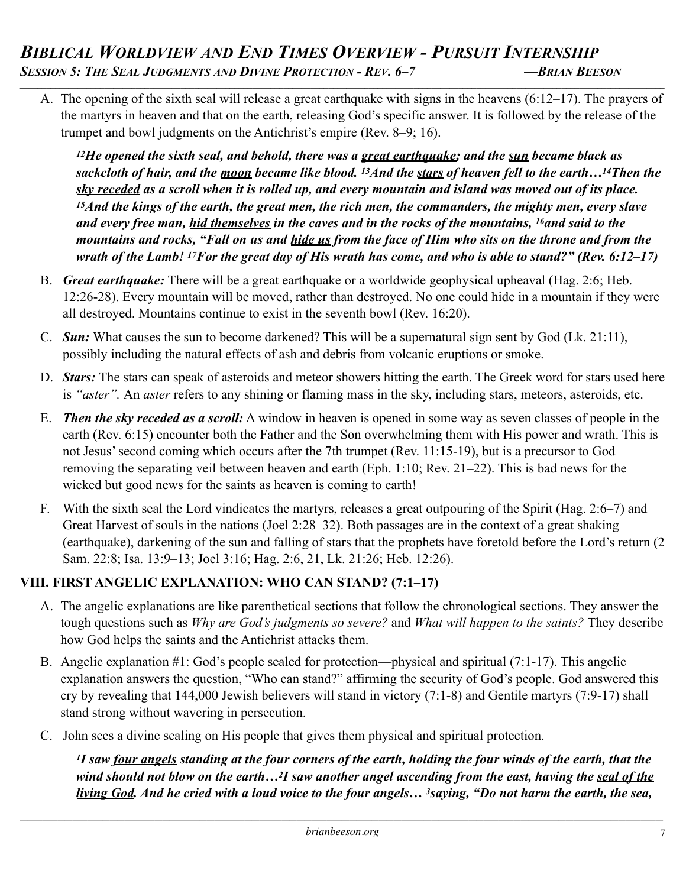A. The opening of the sixth seal will release a great earthquake with signs in the heavens (6:12–17). The prayers of the martyrs in heaven and that on the earth, releasing God's specific answer. It is followed by the release of the trumpet and bowl judgments on the Antichrist's empire (Rev. 8–9; 16).

*12He opened the sixth seal, and behold, there was a great earthquake; and the sun became black as sackcloth of hair, and the moon became like blood. 13And the stars of heaven fell to the earth…14Then the sky receded as a scroll when it is rolled up, and every mountain and island was moved out of its place. 15And the kings of the earth, the great men, the rich men, the commanders, the mighty men, every slave and every free man, hid themselves in the caves and in the rocks of the mountains, 16and said to the mountains and rocks, "Fall on us and hide us from the face of Him who sits on the throne and from the wrath of the Lamb! 17For the great day of His wrath has come, and who is able to stand?" (Rev. 6:12–17)*

- B. *Great earthquake:* There will be a great earthquake or a worldwide geophysical upheaval (Hag. 2:6; Heb. 12:26-28). Every mountain will be moved, rather than destroyed. No one could hide in a mountain if they were all destroyed. Mountains continue to exist in the seventh bowl (Rev. 16:20).
- C. *Sun:* What causes the sun to become darkened? This will be a supernatural sign sent by God (Lk. 21:11), possibly including the natural effects of ash and debris from volcanic eruptions or smoke.
- D. *Stars:* The stars can speak of asteroids and meteor showers hitting the earth. The Greek word for stars used here is *"aster".* An *aster* refers to any shining or flaming mass in the sky, including stars, meteors, asteroids, etc.
- E. *Then the sky receded as a scroll:* A window in heaven is opened in some way as seven classes of people in the earth (Rev. 6:15) encounter both the Father and the Son overwhelming them with His power and wrath. This is not Jesus' second coming which occurs after the 7th trumpet (Rev. 11:15-19), but is a precursor to God removing the separating veil between heaven and earth (Eph. 1:10; Rev. 21–22). This is bad news for the wicked but good news for the saints as heaven is coming to earth!
- F. With the sixth seal the Lord vindicates the martyrs, releases a great outpouring of the Spirit (Hag. 2:6–7) and Great Harvest of souls in the nations (Joel 2:28–32). Both passages are in the context of a great shaking (earthquake), darkening of the sun and falling of stars that the prophets have foretold before the Lord's return (2 Sam. 22:8; Isa. 13:9–13; Joel 3:16; Hag. 2:6, 21, Lk. 21:26; Heb. 12:26).

# **VIII. FIRST ANGELIC EXPLANATION: WHO CAN STAND? (7:1–17)**

- A. The angelic explanations are like parenthetical sections that follow the chronological sections. They answer the tough questions such as *Why are God's judgments so severe?* and *What will happen to the saints?* They describe how God helps the saints and the Antichrist attacks them.
- B. Angelic explanation #1: God's people sealed for protection—physical and spiritual (7:1-17). This angelic explanation answers the question, "Who can stand?" affirming the security of God's people. God answered this cry by revealing that 144,000 Jewish believers will stand in victory (7:1-8) and Gentile martyrs (7:9-17) shall stand strong without wavering in persecution.
- C. John sees a divine sealing on His people that gives them physical and spiritual protection.

*1I saw four angels standing at the four corners of the earth, holding the four winds of the earth, that the wind should not blow on the earth…2I saw another angel ascending from the east, having the seal of the living God. And he cried with a loud voice to the four angels… 3saying, "Do not harm the earth, the sea,*